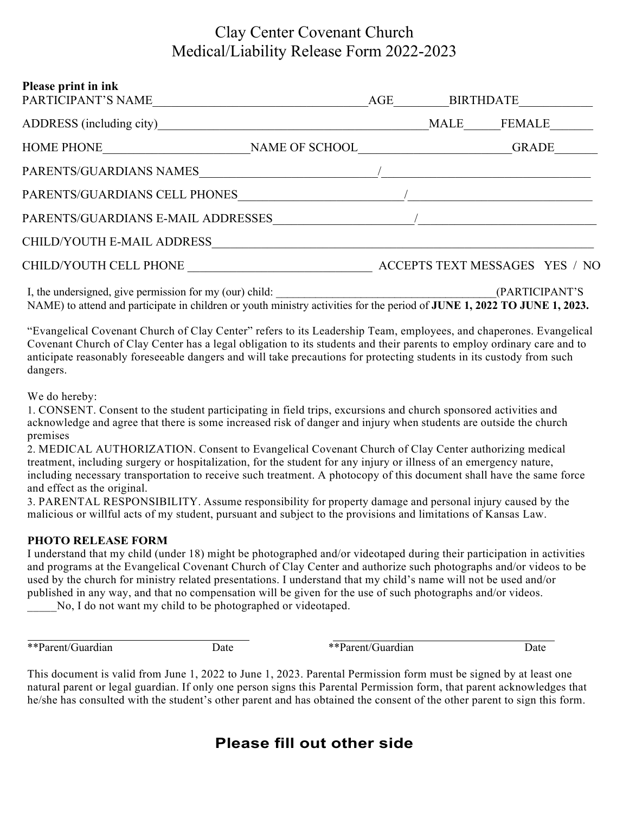## Clay Center Covenant Church Medical/Liability Release Form 2022-2023

| Please print in ink<br>PARTICIPANT'S NAME               |  |  | AGE BIRTHDATE                  |                |  |
|---------------------------------------------------------|--|--|--------------------------------|----------------|--|
| ADDRESS (including city)                                |  |  | MALE                           | FEMALE         |  |
| HOME PHONE NAME OF SCHOOL                               |  |  |                                | GRADE          |  |
| PARENTS/GUARDIANS NAMES                                 |  |  |                                |                |  |
| PARENTS/GUARDIANS CELL PHONES                           |  |  |                                |                |  |
| PARENTS/GUARDIANS E-MAIL ADDRESSES                      |  |  |                                |                |  |
| CHILD/YOUTH E-MAIL ADDRESS                              |  |  |                                |                |  |
| CHILD/YOUTH CELL PHONE                                  |  |  | ACCEPTS TEXT MESSAGES YES / NO |                |  |
| I, the undersigned, give permission for my (our) child: |  |  |                                | (PARTICIPANT'S |  |

NAME) to attend and participate in children or youth ministry activities for the period of **JUNE 1, 2022 TO JUNE 1, 2023.**

"Evangelical Covenant Church of Clay Center" refers to its Leadership Team, employees, and chaperones. Evangelical Covenant Church of Clay Center has a legal obligation to its students and their parents to employ ordinary care and to anticipate reasonably foreseeable dangers and will take precautions for protecting students in its custody from such dangers.

We do hereby:

1. CONSENT. Consent to the student participating in field trips, excursions and church sponsored activities and acknowledge and agree that there is some increased risk of danger and injury when students are outside the church premises

2. MEDICAL AUTHORIZATION. Consent to Evangelical Covenant Church of Clay Center authorizing medical treatment, including surgery or hospitalization, for the student for any injury or illness of an emergency nature, including necessary transportation to receive such treatment. A photocopy of this document shall have the same force and effect as the original.

3. PARENTAL RESPONSIBILITY. Assume responsibility for property damage and personal injury caused by the malicious or willful acts of my student, pursuant and subject to the provisions and limitations of Kansas Law.

#### **PHOTO RELEASE FORM**

I understand that my child (under 18) might be photographed and/or videotaped during their participation in activities and programs at the Evangelical Covenant Church of Clay Center and authorize such photographs and/or videos to be used by the church for ministry related presentations. I understand that my child's name will not be used and/or published in any way, and that no compensation will be given for the use of such photographs and/or videos.

No, I do not want my child to be photographed or videotaped.

\*\*Parent/Guardian Date  $\frac{1}{2}$  Date  $\frac{1}{2}$  Date  $\frac{1}{2}$  Date  $\frac{1}{2}$  Date

This document is valid from June 1, 2022 to June 1, 2023. Parental Permission form must be signed by at least one natural parent or legal guardian. If only one person signs this Parental Permission form, that parent acknowledges that he/she has consulted with the student's other parent and has obtained the consent of the other parent to sign this form.

### **Please fill out other side**